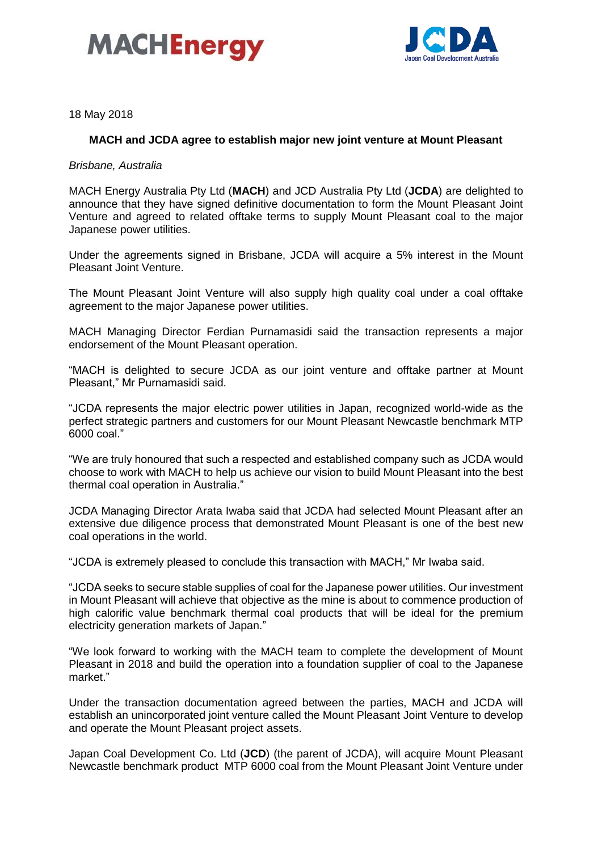



18 May 2018

# **MACH and JCDA agree to establish major new joint venture at Mount Pleasant**

*Brisbane, Australia*

MACH Energy Australia Pty Ltd (**MACH**) and JCD Australia Pty Ltd (**JCDA**) are delighted to announce that they have signed definitive documentation to form the Mount Pleasant Joint Venture and agreed to related offtake terms to supply Mount Pleasant coal to the major Japanese power utilities.

Under the agreements signed in Brisbane, JCDA will acquire a 5% interest in the Mount Pleasant Joint Venture.

The Mount Pleasant Joint Venture will also supply high quality coal under a coal offtake agreement to the major Japanese power utilities.

MACH Managing Director Ferdian Purnamasidi said the transaction represents a major endorsement of the Mount Pleasant operation.

"MACH is delighted to secure JCDA as our joint venture and offtake partner at Mount Pleasant," Mr Purnamasidi said.

"JCDA represents the major electric power utilities in Japan, recognized world-wide as the perfect strategic partners and customers for our Mount Pleasant Newcastle benchmark MTP 6000 coal."

"We are truly honoured that such a respected and established company such as JCDA would choose to work with MACH to help us achieve our vision to build Mount Pleasant into the best thermal coal operation in Australia."

JCDA Managing Director Arata Iwaba said that JCDA had selected Mount Pleasant after an extensive due diligence process that demonstrated Mount Pleasant is one of the best new coal operations in the world.

"JCDA is extremely pleased to conclude this transaction with MACH," Mr Iwaba said.

"JCDA seeks to secure stable supplies of coal for the Japanese power utilities. Our investment in Mount Pleasant will achieve that objective as the mine is about to commence production of high calorific value benchmark thermal coal products that will be ideal for the premium electricity generation markets of Japan."

"We look forward to working with the MACH team to complete the development of Mount Pleasant in 2018 and build the operation into a foundation supplier of coal to the Japanese market."

Under the transaction documentation agreed between the parties, MACH and JCDA will establish an unincorporated joint venture called the Mount Pleasant Joint Venture to develop and operate the Mount Pleasant project assets.

[Japan Coal Development Co. Ltd](http://www.jcdt.jp/) (**JCD**) (the parent of JCDA), will acquire Mount Pleasant Newcastle benchmark product MTP 6000 coal from the Mount Pleasant Joint Venture under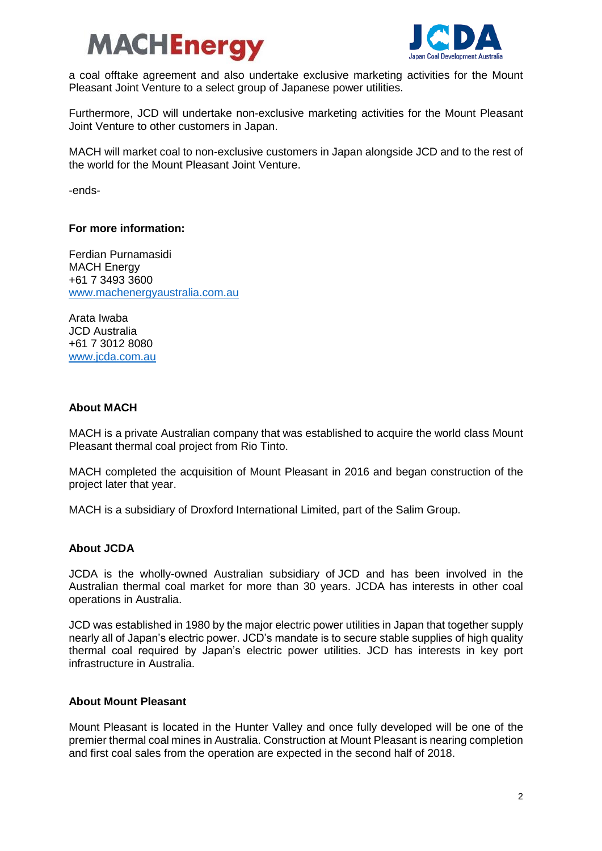



a coal offtake agreement and also undertake exclusive marketing activities for the Mount Pleasant Joint Venture to a select group of Japanese power utilities.

Furthermore, JCD will undertake non-exclusive marketing activities for the Mount Pleasant Joint Venture to other customers in Japan.

MACH will market coal to non-exclusive customers in Japan alongside JCD and to the rest of the world for the Mount Pleasant Joint Venture.

-ends-

### **For more information:**

Ferdian Purnamasidi MACH Energy +61 7 3493 3600 [www.machenergyaustralia.com.au](http://www.machenergyaustralia.com.au/)

Arata Iwaba JCD Australia +61 7 3012 8080 [www.jcda.com.au](http://www.jcda.com.au/)

### **About MACH**

MACH is a private Australian company that was established to acquire the world class Mount Pleasant thermal coal project from Rio Tinto.

MACH completed the acquisition of Mount Pleasant in 2016 and began construction of the project later that year.

MACH is a subsidiary of Droxford International Limited, part of the Salim Group.

### **About JCDA**

JCDA is the wholly-owned Australian subsidiary of JCD and has been involved in the Australian thermal coal market for more than 30 years. JCDA has interests in other coal operations in Australia.

JCD was established in 1980 by the major electric power utilities in Japan that together supply nearly all of Japan's electric power. JCD's mandate is to secure stable supplies of high quality thermal coal required by Japan's electric power utilities. JCD has interests in key port infrastructure in Australia.

# **About Mount Pleasant**

Mount Pleasant is located in the Hunter Valley and once fully developed will be one of the premier thermal coal mines in Australia. Construction at Mount Pleasant is nearing completion and first coal sales from the operation are expected in the second half of 2018.